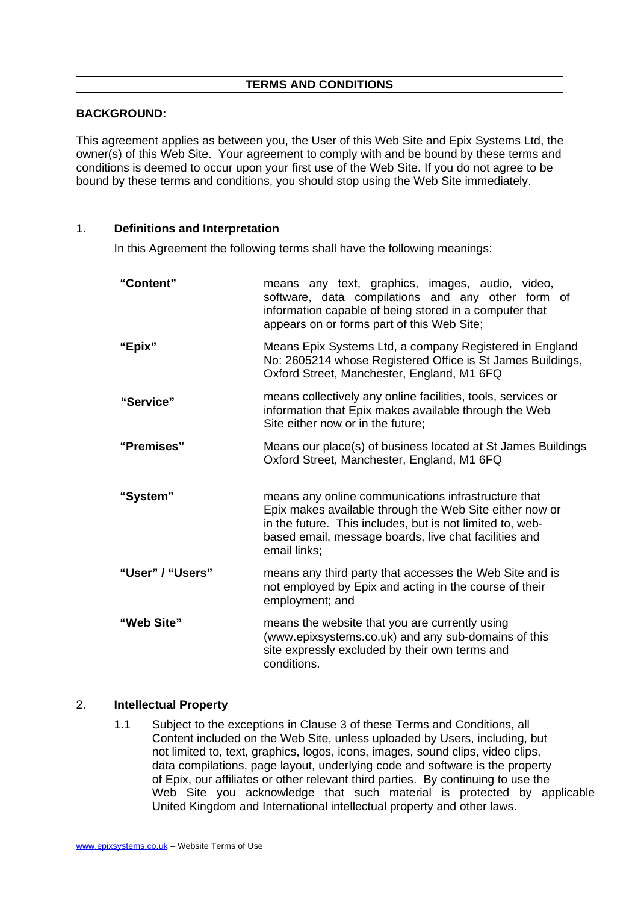## **TERMS AND CONDITIONS**

## **BACKGROUND:**

This agreement applies as between you, the User of this Web Site and Epix Systems Ltd, the owner(s) of this Web Site. Your agreement to comply with and be bound by these terms and conditions is deemed to occur upon your first use of the Web Site. If you do not agree to be bound by these terms and conditions, you should stop using the Web Site immediately.

## 1. **Definitions and Interpretation**

In this Agreement the following terms shall have the following meanings:

| "Content"        | means any text, graphics, images, audio, video,<br>software, data compilations and any other form of<br>information capable of being stored in a computer that<br>appears on or forms part of this Web Site;                                         |
|------------------|------------------------------------------------------------------------------------------------------------------------------------------------------------------------------------------------------------------------------------------------------|
| "Epix"           | Means Epix Systems Ltd, a company Registered in England<br>No: 2605214 whose Registered Office is St James Buildings,<br>Oxford Street, Manchester, England, M1 6FQ                                                                                  |
| "Service"        | means collectively any online facilities, tools, services or<br>information that Epix makes available through the Web<br>Site either now or in the future:                                                                                           |
| "Premises"       | Means our place(s) of business located at St James Buildings<br>Oxford Street, Manchester, England, M1 6FQ                                                                                                                                           |
| "System"         | means any online communications infrastructure that<br>Epix makes available through the Web Site either now or<br>in the future. This includes, but is not limited to, web-<br>based email, message boards, live chat facilities and<br>email links; |
| "User" / "Users" | means any third party that accesses the Web Site and is<br>not employed by Epix and acting in the course of their<br>employment; and                                                                                                                 |
| "Web Site"       | means the website that you are currently using<br>(www.epixsystems.co.uk) and any sub-domains of this<br>site expressly excluded by their own terms and<br>conditions.                                                                               |

#### 2. **Intellectual Property**

1.1 Subject to the exceptions in Clause 3 of these Terms and Conditions, all Content included on the Web Site, unless uploaded by Users, including, but not limited to, text, graphics, logos, icons, images, sound clips, video clips, data compilations, page layout, underlying code and software is the property of Epix, our affiliates or other relevant third parties. By continuing to use the Web Site you acknowledge that such material is protected by applicable United Kingdom and International intellectual property and other laws.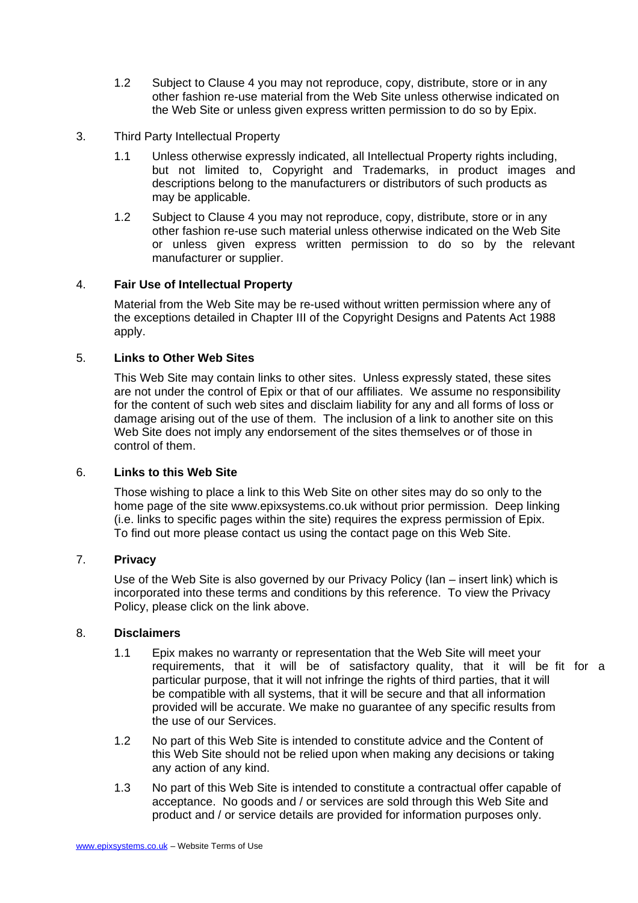- 1.2 Subject to Clause 4 you may not reproduce, copy, distribute, store or in any other fashion re-use material from the Web Site unless otherwise indicated on the Web Site or unless given express written permission to do so by Epix.
- 3. Third Party Intellectual Property
	- 1.1 Unless otherwise expressly indicated, all Intellectual Property rights including, but not limited to, Copyright and Trademarks, in product images and descriptions belong to the manufacturers or distributors of such products as may be applicable.
	- 1.2 Subject to Clause 4 you may not reproduce, copy, distribute, store or in any other fashion re-use such material unless otherwise indicated on the Web Site or unless given express written permission to do so by the relevant manufacturer or supplier.

## 4. **Fair Use of Intellectual Property**

Material from the Web Site may be re-used without written permission where any of the exceptions detailed in Chapter III of the Copyright Designs and Patents Act 1988 apply.

## 5. **Links to Other Web Sites**

This Web Site may contain links to other sites. Unless expressly stated, these sites are not under the control of Epix or that of our affiliates. We assume no responsibility for the content of such web sites and disclaim liability for any and all forms of loss or damage arising out of the use of them. The inclusion of a link to another site on this Web Site does not imply any endorsement of the sites themselves or of those in control of them.

#### 6. **Links to this Web Site**

Those wishing to place a link to this Web Site on other sites may do so only to the home page of the site www.epixsystems.co.uk without prior permission. Deep linking (i.e. links to specific pages within the site) requires the express permission of Epix. To find out more please contact us using the contact page on this Web Site.

## 7. **Privacy**

Use of the Web Site is also governed by our Privacy Policy (Ian – insert link) which is incorporated into these terms and conditions by this reference. To view the Privacy Policy, please click on the link above.

#### 8. **Disclaimers**

- 1.1 Epix makes no warranty or representation that the Web Site will meet your requirements, that it will be of satisfactory quality, that it will be fit for a particular purpose, that it will not infringe the rights of third parties, that it will be compatible with all systems, that it will be secure and that all information provided will be accurate. We make no guarantee of any specific results from the use of our Services.
- 1.2 No part of this Web Site is intended to constitute advice and the Content of this Web Site should not be relied upon when making any decisions or taking any action of any kind.
- 1.3 No part of this Web Site is intended to constitute a contractual offer capable of acceptance. No goods and / or services are sold through this Web Site and product and / or service details are provided for information purposes only.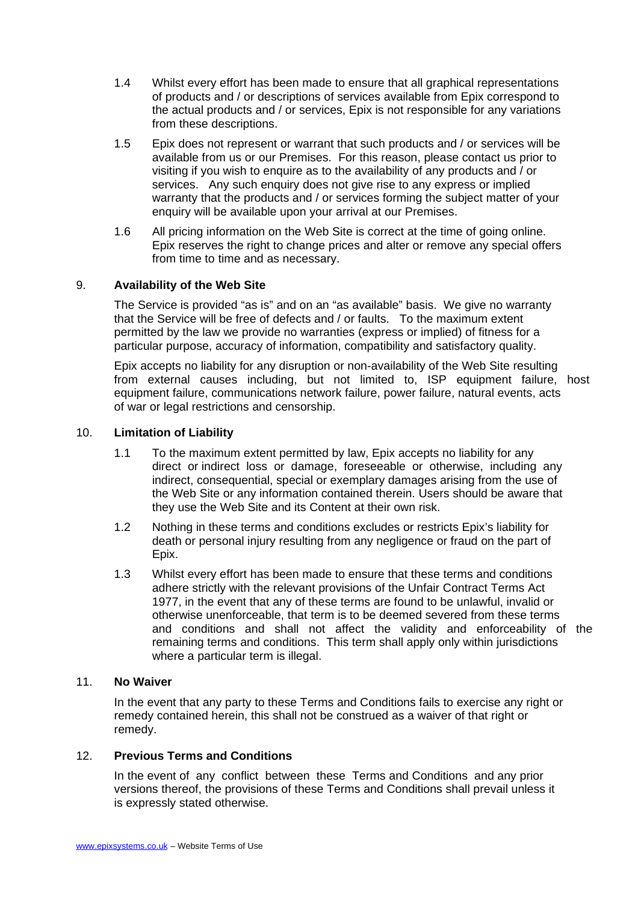- 1.4 Whilst every effort has been made to ensure that all graphical representations of products and / or descriptions of services available from Epix correspond to the actual products and / or services, Epix is not responsible for any variations from these descriptions.
- 1.5 Epix does not represent or warrant that such products and / or services will be available from us or our Premises. For this reason, please contact us prior to visiting if you wish to enquire as to the availability of any products and / or services. Any such enquiry does not give rise to any express or implied warranty that the products and / or services forming the subject matter of your enquiry will be available upon your arrival at our Premises.
- 1.6 All pricing information on the Web Site is correct at the time of going online. Epix reserves the right to change prices and alter or remove any special offers from time to time and as necessary.

## 9. **Availability of the Web Site**

The Service is provided "as is" and on an "as available" basis. We give no warranty that the Service will be free of defects and / or faults. To the maximum extent permitted by the law we provide no warranties (express or implied) of fitness for a particular purpose, accuracy of information, compatibility and satisfactory quality.

Epix accepts no liability for any disruption or non-availability of the Web Site resulting from external causes including, but not limited to, ISP equipment failure, host equipment failure, communications network failure, power failure, natural events, acts of war or legal restrictions and censorship.

#### 10. **Limitation of Liability**

- 1.1 To the maximum extent permitted by law, Epix accepts no liability for any direct or indirect loss or damage, foreseeable or otherwise, including any indirect, consequential, special or exemplary damages arising from the use of the Web Site or any information contained therein. Users should be aware that they use the Web Site and its Content at their own risk.
- 1.2 Nothing in these terms and conditions excludes or restricts Epix's liability for death or personal injury resulting from any negligence or fraud on the part of Epix.
- 1.3 Whilst every effort has been made to ensure that these terms and conditions adhere strictly with the relevant provisions of the Unfair Contract Terms Act 1977, in the event that any of these terms are found to be unlawful, invalid or otherwise unenforceable, that term is to be deemed severed from these terms and conditions and shall not affect the validity and enforceability of the remaining terms and conditions. This term shall apply only within jurisdictions where a particular term is illegal.

#### 11. **No Waiver**

In the event that any party to these Terms and Conditions fails to exercise any right or remedy contained herein, this shall not be construed as a waiver of that right or remedy.

#### 12. **Previous Terms and Conditions**

In the event of any conflict between these Terms and Conditions and any prior versions thereof, the provisions of these Terms and Conditions shall prevail unless it is expressly stated otherwise.